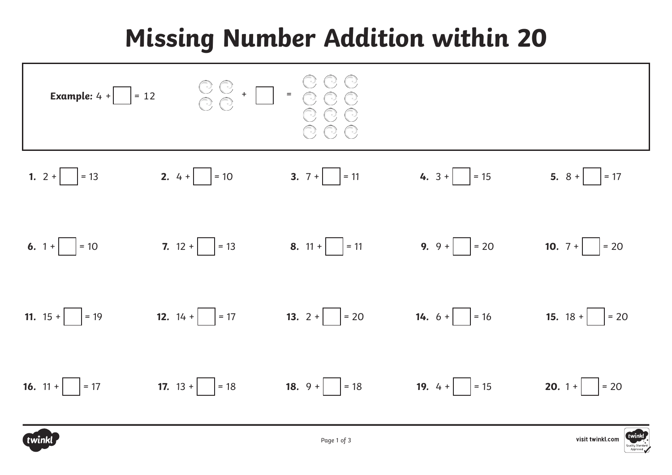## **Missing Number Addition within 20**



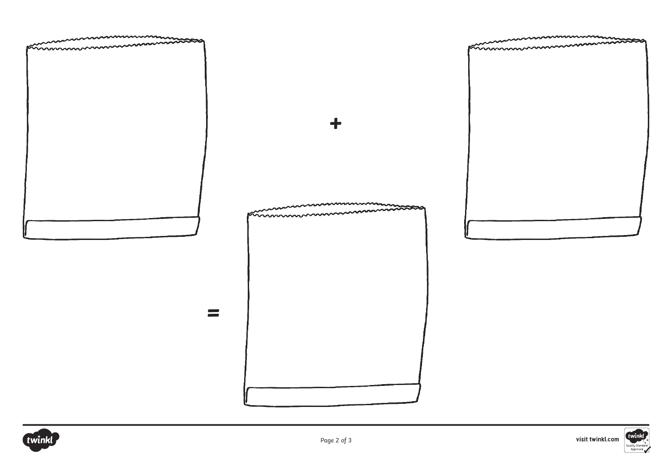